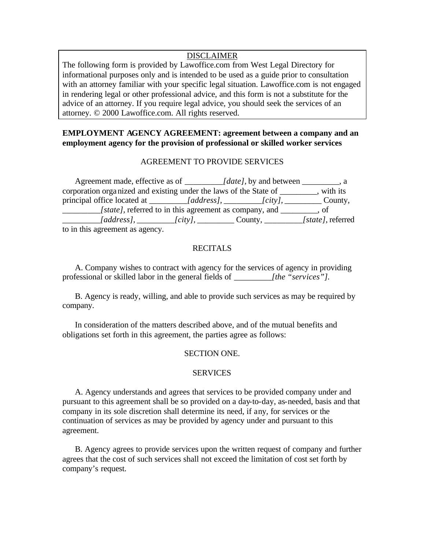# DISCLAIMER

The following form is provided by Lawoffice.com from West Legal Directory for informational purposes only and is intended to be used as a guide prior to consultation with an attorney familiar with your specific legal situation. Lawoffice.com is not engaged in rendering legal or other professional advice, and this form is not a substitute for the advice of an attorney. If you require legal advice, you should seek the services of an attorney. © 2000 Lawoffice.com. All rights reserved.

# **EMPLOYMENT AGENCY AGREEMENT: agreement between a company and an employment agency for the provision of professional or skilled worker services**

# AGREEMENT TO PROVIDE SERVICES

| Agreement made, effective as of __________ <i>[date]</i> , by and between ________, a |                                                                                         |  |
|---------------------------------------------------------------------------------------|-----------------------------------------------------------------------------------------|--|
| corporation organized and existing under the laws of the State of _______, with its   |                                                                                         |  |
| principal office located at _________[address], __________[city], __________County,   |                                                                                         |  |
|                                                                                       | <i>[state]</i> , referred to in this agreement as company, and <u>second</u> , of       |  |
|                                                                                       | $[address], \_\_\_\_\_[city], \_\_\_\_\_Cavity, \_\_\_\_\_\_\_[state], \text{referred}$ |  |
| to in this agreement as agency.                                                       |                                                                                         |  |

# **RECITALS**

A. Company wishes to contract with agency for the services of agency in providing professional or skilled labor in the general fields of *\_\_\_\_\_\_\_\_\_[the "services"].*

B. Agency is ready, willing, and able to provide such services as may be required by company.

In consideration of the matters described above, and of the mutual benefits and obligations set forth in this agreement, the parties agree as follows:

## SECTION ONE.

## SERVICES

A. Agency understands and agrees that services to be provided company under and pursuant to this agreement shall be so provided on a day-to-day, as-needed, basis and that company in its sole discretion shall determine its need, if any, for services or the continuation of services as may be provided by agency under and pursuant to this agreement.

B. Agency agrees to provide services upon the written request of company and further agrees that the cost of such services shall not exceed the limitation of cost set forth by company's request.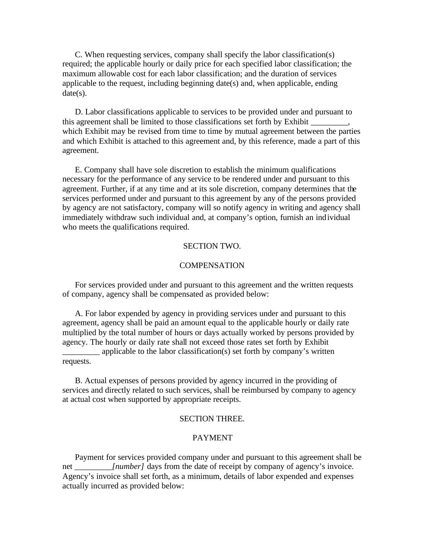C. When requesting services, company shall specify the labor classification(s) required; the applicable hourly or daily price for each specified labor classification; the maximum allowable cost for each labor classification; and the duration of services applicable to the request, including beginning date(s) and, when applicable, ending  $date(s)$ .

D. Labor classifications applicable to services to be provided under and pursuant to this agreement shall be limited to those classifications set forth by Exhibit \_ which Exhibit may be revised from time to time by mutual agreement between the parties and which Exhibit is attached to this agreement and, by this reference, made a part of this agreement.

E. Company shall have sole discretion to establish the minimum qualifications necessary for the performance of any service to be rendered under and pursuant to this agreement. Further, if at any time and at its sole discretion, company determines that the services performed under and pursuant to this agreement by any of the persons provided by agency are not satisfactory, company will so notify agency in writing and agency shall immediately withdraw such individual and, at company's option, furnish an individual who meets the qualifications required.

### SECTION TWO.

## **COMPENSATION**

For services provided under and pursuant to this agreement and the written requests of company, agency shall be compensated as provided below:

A. For labor expended by agency in providing services under and pursuant to this agreement, agency shall be paid an amount equal to the applicable hourly or daily rate multiplied by the total number of hours or days actually worked by persons provided by agency. The hourly or daily rate shall not exceed those rates set forth by Exhibit applicable to the labor classification(s) set forth by company's written requests.

B. Actual expenses of persons provided by agency incurred in the providing of services and directly related to such services, shall be reimbursed by company to agency at actual cost when supported by appropriate receipts.

#### SECTION THREE.

#### PAYMENT

Payment for services provided company under and pursuant to this agreement shall be net *[number]* days from the date of receipt by company of agency's invoice. Agency's invoice shall set forth, as a minimum, details of labor expended and expenses actually incurred as provided below: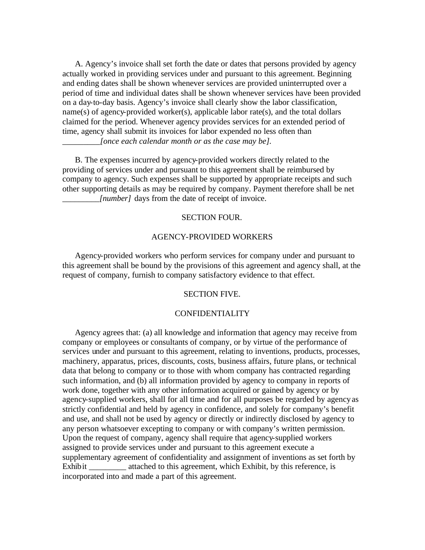A. Agency's invoice shall set forth the date or dates that persons provided by agency actually worked in providing services under and pursuant to this agreement. Beginning and ending dates shall be shown whenever services are provided uninterrupted over a period of time and individual dates shall be shown whenever services have been provided on a day-to-day basis. Agency's invoice shall clearly show the labor classification, name(s) of agency-provided worker(s), applicable labor rate(s), and the total dollars claimed for the period. Whenever agency provides services for an extended period of time, agency shall submit its invoices for labor expended no less often than *[once each calendar month or as the case may be].* 

B. The expenses incurred by agency-provided workers directly related to the providing of services under and pursuant to this agreement shall be reimbursed by company to agency. Such expenses shall be supported by appropriate receipts and such other supporting details as may be required by company. Payment therefore shall be net *\_\_\_\_\_\_\_\_\_[number]* days from the date of receipt of invoice.

## SECTION FOUR.

#### AGENCY-PROVIDED WORKERS

Agency-provided workers who perform services for company under and pursuant to this agreement shall be bound by the provisions of this agreement and agency shall, at the request of company, furnish to company satisfactory evidence to that effect.

## SECTION FIVE.

#### CONFIDENTIALITY

Agency agrees that: (a) all knowledge and information that agency may receive from company or employees or consultants of company, or by virtue of the performance of services under and pursuant to this agreement, relating to inventions, products, processes, machinery, apparatus, prices, discounts, costs, business affairs, future plans, or technical data that belong to company or to those with whom company has contracted regarding such information, and (b) all information provided by agency to company in reports of work done, together with any other information acquired or gained by agency or by agency-supplied workers, shall for all time and for all purposes be regarded by agency as strictly confidential and held by agency in confidence, and solely for company's benefit and use, and shall not be used by agency or directly or indirectly disclosed by agency to any person whatsoever excepting to company or with company's written permission. Upon the request of company, agency shall require that agency-supplied workers assigned to provide services under and pursuant to this agreement execute a supplementary agreement of confidentiality and assignment of inventions as set forth by Exhibit \_\_\_\_\_\_\_\_\_ attached to this agreement, which Exhibit, by this reference, is incorporated into and made a part of this agreement.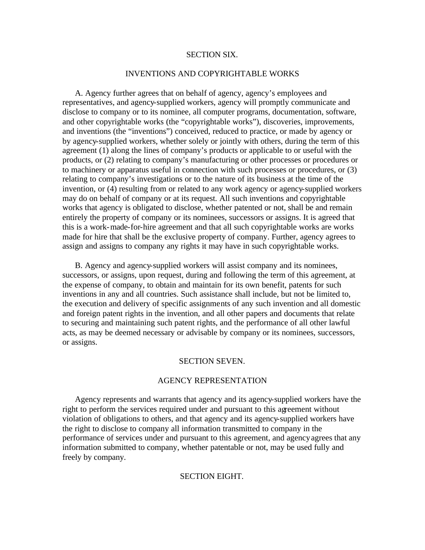### SECTION SIX.

## INVENTIONS AND COPYRIGHTABLE WORKS

A. Agency further agrees that on behalf of agency, agency's employees and representatives, and agency-supplied workers, agency will promptly communicate and disclose to company or to its nominee, all computer programs, documentation, software, and other copyrightable works (the "copyrightable works"), discoveries, improvements, and inventions (the "inventions") conceived, reduced to practice, or made by agency or by agency-supplied workers, whether solely or jointly with others, during the term of this agreement (1) along the lines of company's products or applicable to or useful with the products, or (2) relating to company's manufacturing or other processes or procedures or to machinery or apparatus useful in connection with such processes or procedures, or (3) relating to company's investigations or to the nature of its business at the time of the invention, or (4) resulting from or related to any work agency or agency-supplied workers may do on behalf of company or at its request. All such inventions and copyrightable works that agency is obligated to disclose, whether patented or not, shall be and remain entirely the property of company or its nominees, successors or assigns. It is agreed that this is a work-made-for-hire agreement and that all such copyrightable works are works made for hire that shall be the exclusive property of company. Further, agency agrees to assign and assigns to company any rights it may have in such copyrightable works.

B. Agency and agency-supplied workers will assist company and its nominees, successors, or assigns, upon request, during and following the term of this agreement, at the expense of company, to obtain and maintain for its own benefit, patents for such inventions in any and all countries. Such assistance shall include, but not be limited to, the execution and delivery of specific assignments of any such invention and all domestic and foreign patent rights in the invention, and all other papers and documents that relate to securing and maintaining such patent rights, and the performance of all other lawful acts, as may be deemed necessary or advisable by company or its nominees, successors, or assigns.

#### SECTION SEVEN.

### AGENCY REPRESENTATION

Agency represents and warrants that agency and its agency-supplied workers have the right to perform the services required under and pursuant to this agreement without violation of obligations to others, and that agency and its agency-supplied workers have the right to disclose to company all information transmitted to company in the performance of services under and pursuant to this agreement, and agency agrees that any information submitted to company, whether patentable or not, may be used fully and freely by company.

## SECTION EIGHT.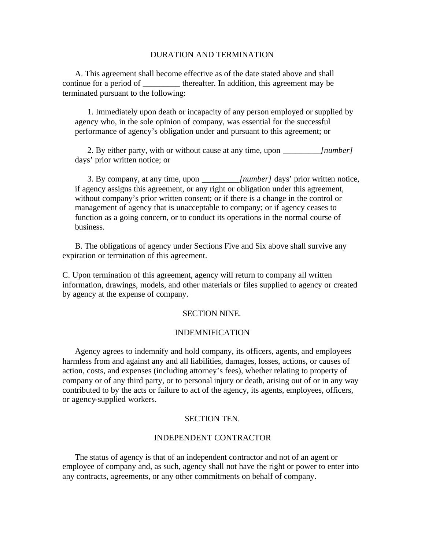## DURATION AND TERMINATION

A. This agreement shall become effective as of the date stated above and shall continue for a period of \_\_\_\_\_\_\_\_\_ thereafter. In addition, this agreement may be terminated pursuant to the following:

1. Immediately upon death or incapacity of any person employed or supplied by agency who, in the sole opinion of company, was essential for the successful performance of agency's obligation under and pursuant to this agreement; or

2. By either party, with or without cause at any time, upon *[number]* days' prior written notice; or

3. By company, at any time, upon *\_\_\_\_\_\_\_\_\_[number]* days' prior written notice, if agency assigns this agreement, or any right or obligation under this agreement, without company's prior written consent; or if there is a change in the control or management of agency that is unacceptable to company; or if agency ceases to function as a going concern, or to conduct its operations in the normal course of business.

B. The obligations of agency under Sections Five and Six above shall survive any expiration or termination of this agreement.

C. Upon termination of this agreement, agency will return to company all written information, drawings, models, and other materials or files supplied to agency or created by agency at the expense of company.

## SECTION NINE.

#### INDEMNIFICATION

Agency agrees to indemnify and hold company, its officers, agents, and employees harmless from and against any and all liabilities, damages, losses, actions, or causes of action, costs, and expenses (including attorney's fees), whether relating to property of company or of any third party, or to personal injury or death, arising out of or in any way contributed to by the acts or failure to act of the agency, its agents, employees, officers, or agency-supplied workers.

### SECTION TEN.

### INDEPENDENT CONTRACTOR

The status of agency is that of an independent contractor and not of an agent or employee of company and, as such, agency shall not have the right or power to enter into any contracts, agreements, or any other commitments on behalf of company.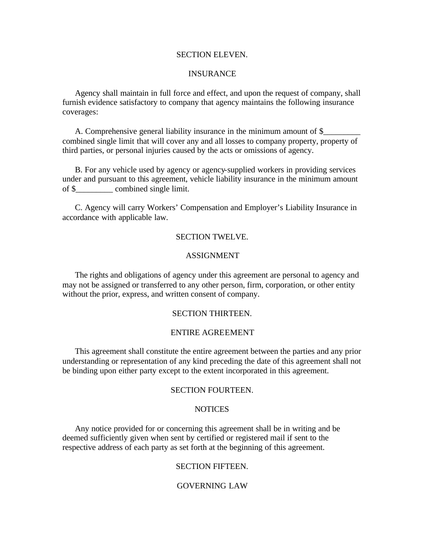## SECTION ELEVEN.

### INSURANCE

Agency shall maintain in full force and effect, and upon the request of company, shall furnish evidence satisfactory to company that agency maintains the following insurance coverages:

A. Comprehensive general liability insurance in the minimum amount of \$\_\_\_\_\_\_\_\_\_\_ combined single limit that will cover any and all losses to company property, property of third parties, or personal injuries caused by the acts or omissions of agency.

B. For any vehicle used by agency or agency-supplied workers in providing services under and pursuant to this agreement, vehicle liability insurance in the minimum amount of \$ combined single limit.

C. Agency will carry Workers' Compensation and Employer's Liability Insurance in accordance with applicable law.

### SECTION TWELVE.

### ASSIGNMENT

The rights and obligations of agency under this agreement are personal to agency and may not be assigned or transferred to any other person, firm, corporation, or other entity without the prior, express, and written consent of company.

## SECTION THIRTEEN.

## ENTIRE AGREEMENT

This agreement shall constitute the entire agreement between the parties and any prior understanding or representation of any kind preceding the date of this agreement shall not be binding upon either party except to the extent incorporated in this agreement.

## SECTION FOURTEEN.

## **NOTICES**

Any notice provided for or concerning this agreement shall be in writing and be deemed sufficiently given when sent by certified or registered mail if sent to the respective address of each party as set forth at the beginning of this agreement.

## SECTION FIFTEEN.

## GOVERNING LAW